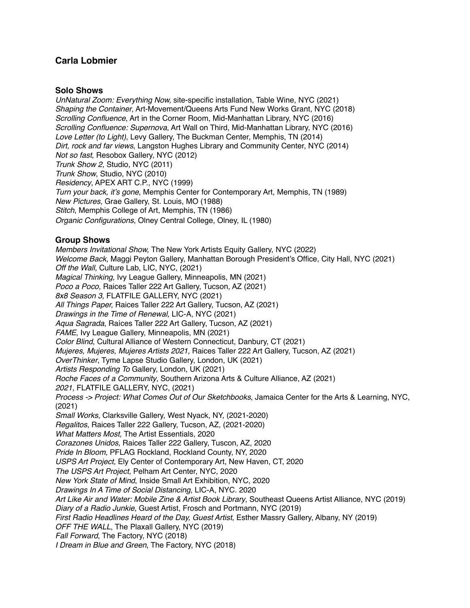# **Carla Lobmier**

#### **Solo Shows**

*UnNatural Zoom: Everything Now,* site-specific installation, Table Wine, NYC (2021) *Shaping the Container*, Art-Movement/Queens Arts Fund New Works Grant, NYC (2018) *Scrolling Confluence*, Art in the Corner Room, Mid-Manhattan Library, NYC (2016) *Scrolling Confluence: Supernova*, Art Wall on Third, Mid-Manhattan Library, NYC (2016) *Love Letter (to Light)*, Levy Gallery, The Buckman Center, Memphis, TN (2014) *Dirt, rock and far views*, Langston Hughes Library and Community Center, NYC (2014) *Not so fast*, Resobox Gallery, NYC (2012) *Trunk Show 2*, Studio, NYC (2011) *Trunk Show*, Studio, NYC (2010) *Residency*, APEX ART C.P., NYC (1999) *Turn your back, it's gone*, Memphis Center for Contemporary Art, Memphis, TN (1989) *New Pictures*, Grae Gallery, St. Louis, MO (1988) *Stitch*, Memphis College of Art, Memphis, TN (1986) *Organic Configurations*, Olney Central College, Olney, IL (1980)

### **Group Shows**

*Members Invitational Show,* The New York Artists Equity Gallery, NYC (2022) *Welcome Back*, Maggi Peyton Gallery, Manhattan Borough President's Office, City Hall, NYC (2021) *Off the Wall*, Culture Lab, LIC, NYC, (2021) *Magical Thinking,* Ivy League Gallery, Minneapolis, MN (2021) *Poco a Poco,* Raices Taller 222 Art Gallery, Tucson, AZ (2021) *8x8 Season 3,* FLATFILE GALLERY, NYC (2021) *All Things Paper,* Raices Taller 222 Art Gallery, Tucson, AZ (2021) *Drawings in the Time of Renewal,* LIC-A, NYC (2021) *Aqua Sagrada*, Raíces Taller 222 Art Gallery, Tucson, AZ (2021) *FAME*, Ivy League Gallery, Minneapolis, MN (2021) *Color Blind*, Cultural Alliance of Western Connecticut, Danbury, CT (2021) *Mujeres, Mujeres, Mujeres Artists 2021*, Raices Taller 222 Art Gallery, Tucson, AZ (2021) *OverThinker*, Tyme Lapse Studio Gallery, London, UK (2021) *Artists Responding To* Gallery, London, UK (2021) *Roche Faces of a Community*, Southern Arizona Arts & Culture Alliance, AZ (2021) *2021,* FLATFILE GALLERY, NYC, (2021) *Process -> Project: What Comes Out of Our Sketchbooks*, Jamaica Center for the Arts & Learning, NYC, (2021) *Small Works*, Clarksville Gallery, West Nyack, NY, (2021-2020) *Regalitos*, Raices Taller 222 Gallery, Tucson, AZ, (2021-2020) *What Matters Most,* The Artist Essentials, 2020 *Corazones Unidos,* Raices Taller 222 Gallery, Tuscon, AZ, 2020 *Pride In Bloom,* PFLAG Rockland, Rockland County, NY, 2020 *USPS Art Project,* Ely Center of Contemporary Art, New Haven, CT, 2020 *The USPS Art Project,* Pelham Art Center, NYC, 2020 *New York State of Mind*, Inside Small Art Exhibition, NYC, 2020 *Drawings In A Time of Social Distancing*, LIC-A, NYC. 2020 *Art Like Air and Water: Mobile Zine & Artist Book Library*, Southeast Queens Artist Alliance, NYC (2019) *Diary of a Radio Junkie*, Guest Artist, Frosch and Portmann, NYC (2019) *First Radio Headlines Heard of the Day, Guest Artist*, Esther Massry Gallery, Albany, NY (2019) *OFF THE WALL*, The Plaxall Gallery, NYC (2019) *Fall Forward*, The Factory, NYC (2018) *I Dream in Blue and Green*, The Factory, NYC (2018)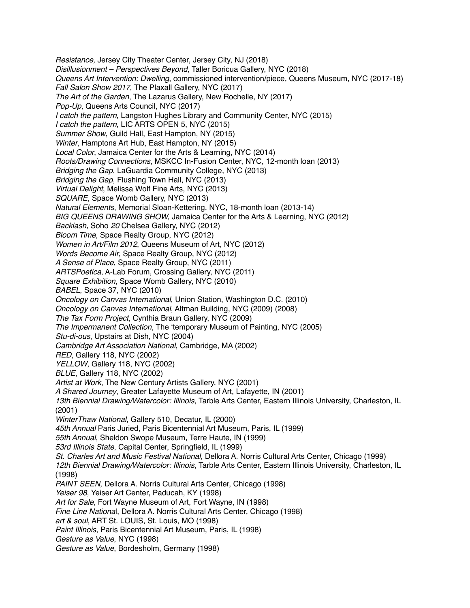*Resistance,* Jersey City Theater Center, Jersey City, NJ (2018) *Disillusionment – Perspectives Beyond*, Taller Boricua Gallery, NYC (2018) *Queens Art Intervention: Dwelling*, commissioned intervention/piece, Queens Museum, NYC (2017-18) *Fall Salon Show 2017*, The Plaxall Gallery, NYC (2017) *The Art of the Garden*, The Lazarus Gallery, New Rochelle, NY (2017) *Pop-Up*, Queens Arts Council, NYC (2017) *I catch the pattern*, Langston Hughes Library and Community Center, NYC (2015) *I catch the pattern*, LIC ARTS OPEN 5, NYC (2015) *Summer Show*, Guild Hall, East Hampton, NY (2015) *Winter*, Hamptons Art Hub, East Hampton, NY (2015) *Local Color*, Jamaica Center for the Arts & Learning, NYC (2014) *Roots/Drawing Connections*, MSKCC In-Fusion Center, NYC, 12-month loan (2013) *Bridging the Gap*, LaGuardia Community College, NYC (2013) *Bridging the Gap*, Flushing Town Hall, NYC (2013) *Virtual Delight*, Melissa Wolf Fine Arts, NYC (2013) *SQUARE*, Space Womb Gallery, NYC (2013) *Natural Elements*, Memorial Sloan-Kettering, NYC, 18-month loan (2013-14) *BIG QUEENS DRAWING SHOW,* Jamaica Center for the Arts & Learning, NYC (2012) *Backlash,* Soho *20* Chelsea Gallery, NYC (2012) *Bloom Time*, Space Realty Group, NYC (2012) *Women in Art/Film 2012*, Queens Museum of Art, NYC (2012) *Words Become Air*, Space Realty Group, NYC (2012) *A Sense of Place*, Space Realty Group, NYC (2011) *ARTSPoetica*, A-Lab Forum, Crossing Gallery, NYC (2011) *Square Exhibition*, Space Womb Gallery, NYC (2010) *BABEL*, Space 37, NYC (2010) *Oncology on Canvas International*, Union Station, Washington D.C. (2010) *Oncology on Canvas International*, Altman Building, NYC (2009) (2008) *The Tax Form Project*, Cynthia Braun Gallery, NYC (2009) *The Impermanent Collection*, The 'temporary Museum of Painting, NYC (2005) *Stu-di-ous*, Upstairs at Dish, NYC (2004) *Cambridge Art Association National*, Cambridge, MA (2002) *RED*, Gallery 118, NYC (2002) *YELLOW*, Gallery 118, NYC (2002) *BLUE*, Gallery 118, NYC (2002) *Artist at Work*, The New Century Artists Gallery, NYC (2001) *A Shared Journey*, Greater Lafayette Museum of Art, Lafayette, IN (2001) *13th Biennial Drawing/Watercolor: Illinois*, Tarble Arts Center, Eastern Illinois University, Charleston, IL (2001) *WinterThaw National*, Gallery 510, Decatur, IL (2000) *45th Annual* Paris Juried, Paris Bicentennial Art Museum, Paris, IL (1999) *55th Annual*, Sheldon Swope Museum, Terre Haute, IN (1999) *53rd Illinois State*, Capital Center, Springfield, IL (1999) *St. Charles Art and Music Festival National*, Dellora A. Norris Cultural Arts Center, Chicago (1999) *12th Biennial Drawing/Watercolor: Illinois*, Tarble Arts Center, Eastern Illinois University, Charleston, IL (1998) *PAINT SEEN*, Dellora A. Norris Cultural Arts Center, Chicago (1998) *Yeiser 98*, Yeiser Art Center, Paducah, KY (1998) *Art for Sale*, Fort Wayne Museum of Art, Fort Wayne, IN (1998) *Fine Line Nationa*l, Dellora A. Norris Cultural Arts Center, Chicago (1998) *art & soul*, ART St. LOUIS, St. Louis, MO (1998) *Paint Illinois*, Paris Bicentennial Art Museum, Paris, IL (1998) *Gesture as Value*, NYC (1998) *Gesture as Value*, Bordesholm, Germany (1998)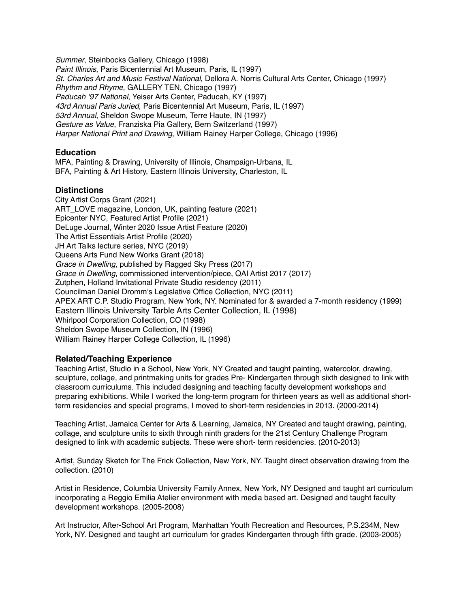*Summer*, Steinbocks Gallery, Chicago (1998) *Paint Illinois*, Paris Bicentennial Art Museum, Paris, IL (1997) *St. Charles Art and Music Festival National*, Dellora A. Norris Cultural Arts Center, Chicago (1997) *Rhythm and Rhyme*, GALLERY TEN, Chicago (1997) *Paducah '97 National*, Yeiser Arts Center, Paducah, KY (1997) *43rd Annual Paris Juried*, Paris Bicentennial Art Museum, Paris, IL (1997) *53rd Annual*, Sheldon Swope Museum, Terre Haute, IN (1997) *Gesture as Value*, Franziska Pia Gallery, Bern Switzerland (1997) *Harper National Print and Drawing*, William Rainey Harper College, Chicago (1996)

### **Education**

MFA, Painting & Drawing, University of Illinois, Champaign-Urbana, IL BFA, Painting & Art History, Eastern Illinois University, Charleston, IL

### **Distinctions**

City Artist Corps Grant (2021) ART\_LOVE magazine, London, UK, painting feature (2021) Epicenter NYC, Featured Artist Profile (2021) DeLuge Journal, Winter 2020 Issue Artist Feature (2020) The Artist Essentials Artist Profile (2020) JH Art Talks lecture series, NYC (2019) Queens Arts Fund New Works Grant (2018) *Grace in Dwelling*, published by Ragged Sky Press (2017) *Grace in Dwelling*, commissioned intervention/piece, QAI Artist 2017 (2017) Zutphen, Holland Invitational Private Studio residency (2011) Councilman Daniel Dromm's Legislative Office Collection, NYC (2011) APEX ART C.P. Studio Program, New York, NY. Nominated for & awarded a 7-month residency (1999) Eastern Illinois University Tarble Arts Center Collection, IL (1998) Whirlpool Corporation Collection, CO (1998) Sheldon Swope Museum Collection, IN (1996) William Rainey Harper College Collection, IL (1996)

## **Related/Teaching Experience**

Teaching Artist, Studio in a School, New York, NY Created and taught painting, watercolor, drawing, sculpture, collage, and printmaking units for grades Pre- Kindergarten through sixth designed to link with classroom curriculums. This included designing and teaching faculty development workshops and preparing exhibitions. While I worked the long-term program for thirteen years as well as additional shortterm residencies and special programs, I moved to short-term residencies in 2013. (2000-2014)

Teaching Artist, Jamaica Center for Arts & Learning, Jamaica, NY Created and taught drawing, painting, collage, and sculpture units to sixth through ninth graders for the 21st Century Challenge Program designed to link with academic subjects. These were short- term residencies. (2010-2013)

Artist, Sunday Sketch for The Frick Collection, New York, NY. Taught direct observation drawing from the collection. (2010)

Artist in Residence, Columbia University Family Annex, New York, NY Designed and taught art curriculum incorporating a Reggio Emilia Atelier environment with media based art. Designed and taught faculty development workshops. (2005-2008)

Art Instructor, After-School Art Program, Manhattan Youth Recreation and Resources, P.S.234M, New York, NY. Designed and taught art curriculum for grades Kindergarten through fifth grade. (2003-2005)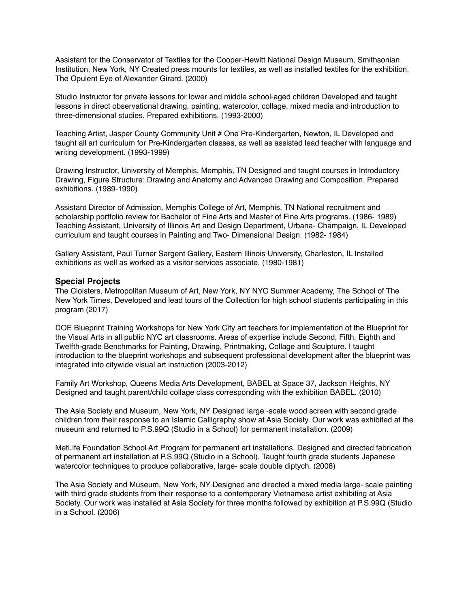Assistant for the Conservator of Textiles for the Cooper-Hewitt National Design Museum, Smithsonian Institution, New York, NY Created press mounts for textiles, as well as installed textiles for the exhibition, The Opulent Eye of Alexander Girard. (2000)

Studio Instructor for private lessons for lower and middle school-aged children Developed and taught lessons in direct observational drawing, painting, watercolor, collage, mixed media and introduction to three-dimensional studies. Prepared exhibitions. (1993-2000)

Teaching Artist, Jasper County Community Unit # One Pre-Kindergarten, Newton, IL Developed and taught all art curriculum for Pre-Kindergarten classes, as well as assisted lead teacher with language and writing development. (1993-1999)

Drawing Instructor, University of Memphis, Memphis, TN Designed and taught courses in Introductory Drawing, Figure Structure: Drawing and Anatomy and Advanced Drawing and Composition. Prepared exhibitions. (1989-1990)

Assistant Director of Admission, Memphis College of Art, Memphis, TN National recruitment and scholarship portfolio review for Bachelor of Fine Arts and Master of Fine Arts programs. (1986- 1989) Teaching Assistant, University of Illinois Art and Design Department, Urbana- Champaign, IL Developed curriculum and taught courses in Painting and Two- Dimensional Design. (1982- 1984)

Gallery Assistant, Paul Turner Sargent Gallery, Eastern Illinois University, Charleston, IL Installed exhibitions as well as worked as a visitor services associate. (1980-1981)

#### **Special Projects**

The Cloisters, Metropolitan Museum of Art, New York, NY NYC Summer Academy, The School of The New York Times, Developed and lead tours of the Collection for high school students participating in this program (2017)

DOE Blueprint Training Workshops for New York City art teachers for implementation of the Blueprint for the Visual Arts in all public NYC art classrooms. Areas of expertise include Second, Fifth, Eighth and Twelfth-grade Benchmarks for Painting, Drawing, Printmaking, Collage and Sculpture. I taught introduction to the blueprint workshops and subsequent professional development after the blueprint was integrated into citywide visual art instruction (2003-2012)

Family Art Workshop, Queens Media Arts Development, BABEL at Space 37, Jackson Heights, NY Designed and taught parent/child collage class corresponding with the exhibition BABEL. (2010)

The Asia Society and Museum, New York, NY Designed large -scale wood screen with second grade children from their response to an Islamic Calligraphy show at Asia Society. Our work was exhibited at the museum and returned to P.S.99Q (Studio in a School) for permanent installation. (2009)

MetLife Foundation School Art Program for permanent art installations. Designed and directed fabrication of permanent art installation at P.S.99Q (Studio in a School). Taught fourth grade students Japanese watercolor techniques to produce collaborative, large- scale double diptych. (2008)

The Asia Society and Museum, New York, NY Designed and directed a mixed media large- scale painting with third grade students from their response to a contemporary Vietnamese artist exhibiting at Asia Society. Our work was installed at Asia Society for three months followed by exhibition at P.S.99Q (Studio in a School. (2006)